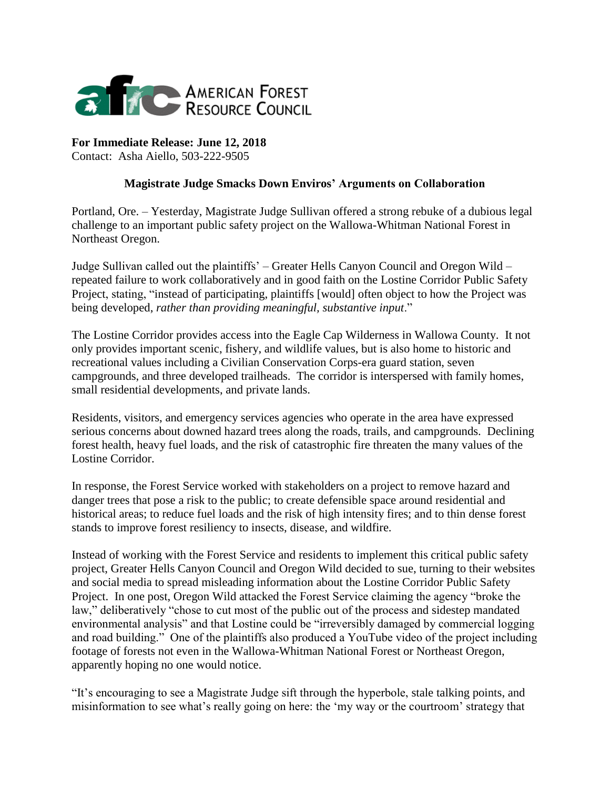

**For Immediate Release: June 12, 2018** Contact: Asha Aiello, 503-222-9505

## **Magistrate Judge Smacks Down Enviros' Arguments on Collaboration**

Portland, Ore. – Yesterday, Magistrate Judge Sullivan offered a strong rebuke of a dubious legal challenge to an important public safety project on the Wallowa-Whitman National Forest in Northeast Oregon.

Judge Sullivan called out the plaintiffs' – Greater Hells Canyon Council and Oregon Wild – repeated failure to work collaboratively and in good faith on the Lostine Corridor Public Safety Project, stating, "instead of participating, plaintiffs [would] often object to how the Project was being developed, *rather than providing meaningful, substantive input*."

The Lostine Corridor provides access into the Eagle Cap Wilderness in Wallowa County. It not only provides important scenic, fishery, and wildlife values, but is also home to historic and recreational values including a Civilian Conservation Corps-era guard station, seven campgrounds, and three developed trailheads. The corridor is interspersed with family homes, small residential developments, and private lands.

Residents, visitors, and emergency services agencies who operate in the area have expressed serious concerns about downed hazard trees along the roads, trails, and campgrounds. Declining forest health, heavy fuel loads, and the risk of catastrophic fire threaten the many values of the Lostine Corridor.

In response, the Forest Service worked with stakeholders on a project to remove hazard and danger trees that pose a risk to the public; to create defensible space around residential and historical areas; to reduce fuel loads and the risk of high intensity fires; and to thin dense forest stands to improve forest resiliency to insects, disease, and wildfire.

Instead of working with the Forest Service and residents to implement this critical public safety project, Greater Hells Canyon Council and Oregon Wild decided to sue, turning to their websites and social media to spread misleading information about the Lostine Corridor Public Safety Project. In one post, Oregon Wild attacked the Forest Service claiming the agency "broke the law," deliberatively "chose to cut most of the public out of the process and sidestep mandated environmental analysis" and that Lostine could be "irreversibly damaged by commercial logging and road building." One of the plaintiffs also produced a YouTube video of the project including footage of forests not even in the Wallowa-Whitman National Forest or Northeast Oregon, apparently hoping no one would notice.

"It's encouraging to see a Magistrate Judge sift through the hyperbole, stale talking points, and misinformation to see what's really going on here: the 'my way or the courtroom' strategy that